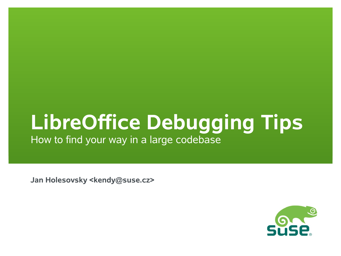# **LibreOffice Debugging Tips**

How to find your way in a large codebase

**Jan Holesovsky <kendy@suse.cz>**

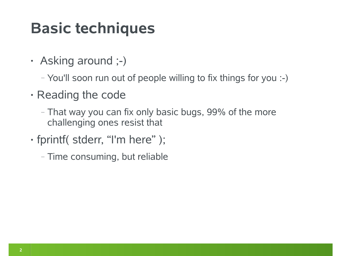### **Basic techniques**

- Asking around ;-)
	- ‒ You'll soon run out of people willing to fix things for you :-)
- Reading the code
	- ‒ That way you can fix only basic bugs, 99% of the more challenging ones resist that
- fprintf( stderr, "I'm here" );
	- ‒ Time consuming, but reliable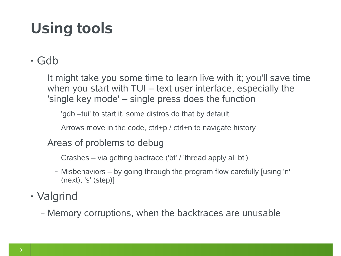# **Using tools**

#### • Gdb

- ‒ It might take you some time to learn live with it; you'll save time when you start with TUI – text user interface, especially the 'single key mode' – single press does the function
	- ‒ 'gdb –tui' to start it, some distros do that by default
	- ‒ Arrows move in the code, ctrl+p / ctrl+n to navigate history
- ‒ Areas of problems to debug
	- ‒ Crashes via getting bactrace ('bt' / 'thread apply all bt')
	- ‒ Misbehaviors by going through the program flow carefully [using 'n' (next), 's' (step)]
- Valgrind
	- ‒ Memory corruptions, when the backtraces are unusable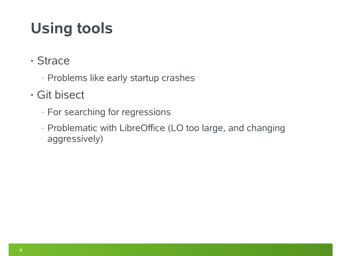# **Using tools**

- Strace
	- ‒ Problems like early startup crashes
- Git bisect
	- ‒ For searching for regressions
	- ‒ Problematic with LibreOffice (LO too large, and changing aggressively)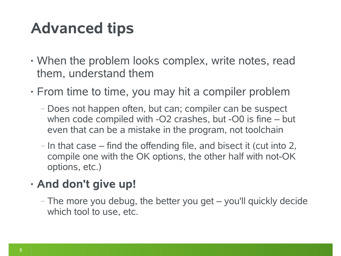### **Advanced tips**

- When the problem looks complex, write notes, read them, understand them
- From time to time, you may hit a compiler problem
	- ‒ Does not happen often, but can; compiler can be suspect when code compiled with -O2 crashes, but -O0 is fine – but even that can be a mistake in the program, not toolchain
	- $-$  In that case  $-$  find the offending file, and bisect it (cut into 2, compile one with the OK options, the other half with not-OK options, etc.)

#### • **And don't give up!**

‒ The more you debug, the better you get – you'll quickly decide which tool to use, etc.